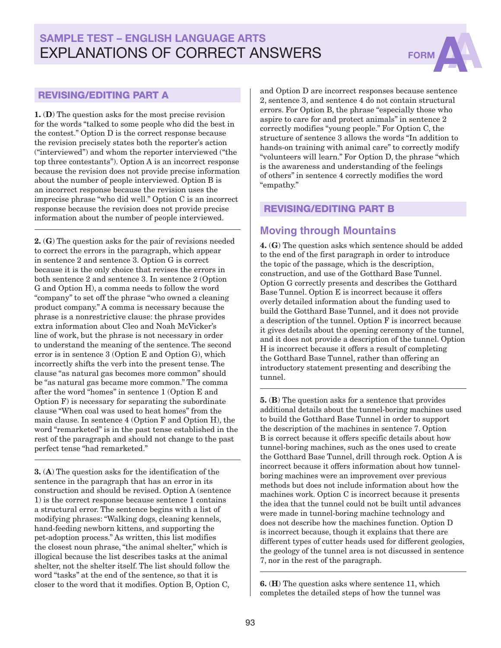# SAMPLE TEST – ENGLISH LANGUAGE ARTS EXPLANATIONS OF CORRECT ANSWERS FORM



#### REVISING/EDITING PART A

1. (D) The question asks for the most precise revision for the words "talked to some people who did the best in the contest." Option D is the correct response because the revision precisely states both the reporter's action ("interviewed") and whom the reporter interviewed ("the top three contestants"). Option A is an incorrect response because the revision does not provide precise information about the number of people interviewed. Option B is an incorrect response because the revision uses the imprecise phrase "who did well." Option C is an incorrect response because the revision does not provide precise information about the number of people interviewed.

2. (G) The question asks for the pair of revisions needed to correct the errors in the paragraph, which appear in sentence 2 and sentence 3. Option G is correct because it is the only choice that revises the errors in both sentence 2 and sentence 3. In sentence 2 (Option G and Option H), a comma needs to follow the word "company" to set off the phrase "who owned a cleaning product company." A comma is necessary because the phrase is a nonrestrictive clause: the phrase provides extra information about Cleo and Noah McVicker's line of work, but the phrase is not necessary in order to understand the meaning of the sentence. The second error is in sentence 3 (Option E and Option G), which incorrectly shifts the verb into the present tense. The clause "as natural gas becomes more common" should be "as natural gas became more common." The comma after the word "homes" in sentence 1 (Option E and Option F) is necessary for separating the subordinate clause "When coal was used to heat homes" from the main clause. In sentence 4 (Option F and Option H), the word "remarketed" is in the past tense established in the rest of the paragraph and should not change to the past perfect tense "had remarketed."

3. (A) The question asks for the identification of the sentence in the paragraph that has an error in its construction and should be revised. Option A (sentence 1) is the correct response because sentence 1 contains a structural error. The sentence begins with a list of modifying phrases: "Walking dogs, cleaning kennels, hand-feeding newborn kittens, and supporting the pet-adoption process." As written, this list modifies the closest noun phrase, "the animal shelter," which is illogical because the list describes tasks at the animal shelter, not the shelter itself. The list should follow the word "tasks" at the end of the sentence, so that it is closer to the word that it modifies. Option B, Option C,

and Option D are incorrect responses because sentence 2, sentence 3, and sentence 4 do not contain structural errors. For Option B, the phrase "especially those who aspire to care for and protect animals" in sentence 2 correctly modifies "young people." For Option C, the structure of sentence 3 allows the words "In addition to hands-on training with animal care" to correctly modify "volunteers will learn." For Option D, the phrase "which is the awareness and understanding of the feelings of others" in sentence 4 correctly modifies the word "empathy."

#### REVISING/EDITING PART B

### **Moving through Mountains**

4. (G) The question asks which sentence should be added to the end of the first paragraph in order to introduce the topic of the passage, which is the description, construction, and use of the Gotthard Base Tunnel. Option G correctly presents and describes the Gotthard Base Tunnel. Option E is incorrect because it offers overly detailed information about the funding used to build the Gotthard Base Tunnel, and it does not provide a description of the tunnel. Option F is incorrect because it gives details about the opening ceremony of the tunnel, and it does not provide a description of the tunnel. Option H is incorrect because it offers a result of completing the Gotthard Base Tunnel, rather than offering an introductory statement presenting and describing the tunnel.

5. (B) The question asks for a sentence that provides additional details about the tunnel-boring machines used to build the Gotthard Base Tunnel in order to support the description of the machines in sentence 7. Option B is correct because it offers specific details about how tunnel-boring machines, such as the ones used to create the Gotthard Base Tunnel, drill through rock. Option A is incorrect because it offers information about how tunnelboring machines were an improvement over previous methods but does not include information about how the machines work. Option C is incorrect because it presents the idea that the tunnel could not be built until advances were made in tunnel-boring machine technology and does not describe how the machines function. Option D is incorrect because, though it explains that there are different types of cutter heads used for different geologies, the geology of the tunnel area is not discussed in sentence 7, nor in the rest of the paragraph.

6. (H) The question asks where sentence 11, which completes the detailed steps of how the tunnel was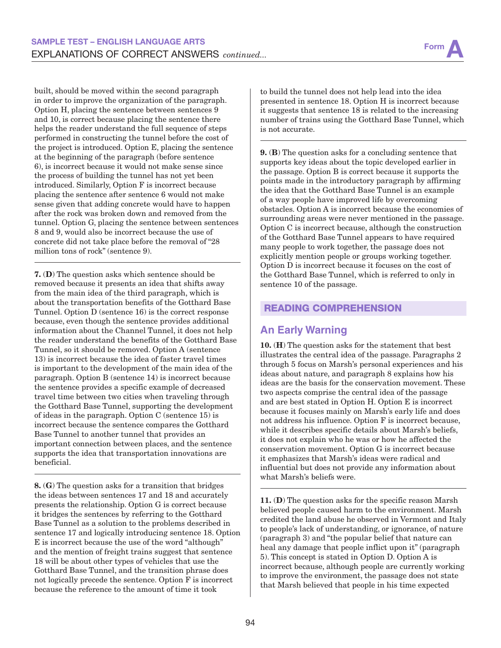built, should be moved within the second paragraph in order to improve the organization of the paragraph. Option H, placing the sentence between sentences 9 and 10, is correct because placing the sentence there helps the reader understand the full sequence of steps performed in constructing the tunnel before the cost of the project is introduced. Option E, placing the sentence at the beginning of the paragraph (before sentence 6), is incorrect because it would not make sense since the process of building the tunnel has not yet been introduced. Similarly, Option F is incorrect because placing the sentence after sentence 6 would not make sense given that adding concrete would have to happen after the rock was broken down and removed from the tunnel. Option G, placing the sentence between sentences 8 and 9, would also be incorrect because the use of concrete did not take place before the removal of "28 million tons of rock" (sentence 9).

7. (D) The question asks which sentence should be removed because it presents an idea that shifts away from the main idea of the third paragraph, which is about the transportation benefits of the Gotthard Base Tunnel. Option D (sentence 16) is the correct response because, even though the sentence provides additional information about the Channel Tunnel, it does not help the reader understand the benefits of the Gotthard Base Tunnel, so it should be removed. Option A (sentence 13) is incorrect because the idea of faster travel times is important to the development of the main idea of the paragraph. Option B (sentence 14) is incorrect because the sentence provides a specific example of decreased travel time between two cities when traveling through the Gotthard Base Tunnel, supporting the development of ideas in the paragraph. Option C (sentence 15) is incorrect because the sentence compares the Gotthard Base Tunnel to another tunnel that provides an important connection between places, and the sentence supports the idea that transportation innovations are beneficial.

8. (G) The question asks for a transition that bridges the ideas between sentences 17 and 18 and accurately presents the relationship. Option G is correct because it bridges the sentences by referring to the Gotthard Base Tunnel as a solution to the problems described in sentence 17 and logically introducing sentence 18. Option E is incorrect because the use of the word "although" and the mention of freight trains suggest that sentence 18 will be about other types of vehicles that use the Gotthard Base Tunnel, and the transition phrase does not logically precede the sentence. Option F is incorrect because the reference to the amount of time it took

to build the tunnel does not help lead into the idea presented in sentence 18. Option H is incorrect because it suggests that sentence 18 is related to the increasing number of trains using the Gotthard Base Tunnel, which is not accurate.

9. (B) The question asks for a concluding sentence that supports key ideas about the topic developed earlier in the passage. Option B is correct because it supports the points made in the introductory paragraph by affirming the idea that the Gotthard Base Tunnel is an example of a way people have improved life by overcoming obstacles. Option A is incorrect because the economies of surrounding areas were never mentioned in the passage. Option C is incorrect because, although the construction of the Gotthard Base Tunnel appears to have required many people to work together, the passage does not explicitly mention people or groups working together. Option D is incorrect because it focuses on the cost of the Gotthard Base Tunnel, which is referred to only in sentence 10 of the passage.

#### READING COMPREHENSION

### **An Early Warning**

10. (H) The question asks for the statement that best illustrates the central idea of the passage. Paragraphs 2 through 5 focus on Marsh's personal experiences and his ideas about nature, and paragraph 8 explains how his ideas are the basis for the conservation movement. These two aspects comprise the central idea of the passage and are best stated in Option H. Option E is incorrect because it focuses mainly on Marsh's early life and does not address his influence. Option F is incorrect because, while it describes specific details about Marsh's beliefs, it does not explain who he was or how he affected the conservation movement. Option G is incorrect because it emphasizes that Marsh's ideas were radical and influential but does not provide any information about what Marsh's beliefs were.

11. (D) The question asks for the specific reason Marsh believed people caused harm to the environment. Marsh credited the land abuse he observed in Vermont and Italy to people's lack of understanding, or ignorance, of nature (paragraph 3) and "the popular belief that nature can heal any damage that people inflict upon it" (paragraph 5). This concept is stated in Option D. Option A is incorrect because, although people are currently working to improve the environment, the passage does not state that Marsh believed that people in his time expected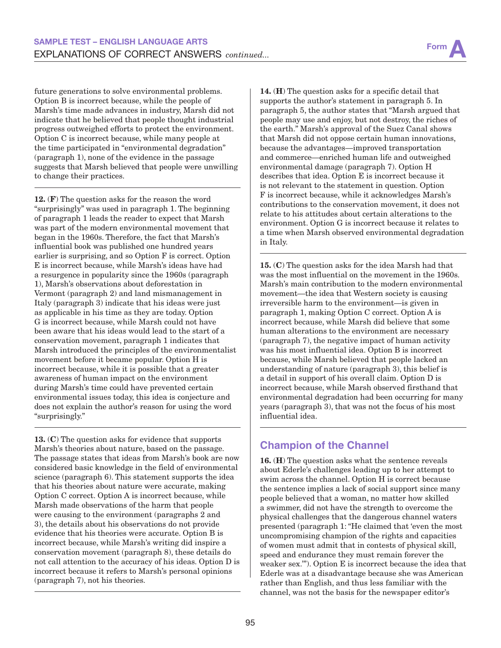future generations to solve environmental problems. Option B is incorrect because, while the people of Marsh's time made advances in industry, Marsh did not indicate that he believed that people thought industrial progress outweighed efforts to protect the environment. Option C is incorrect because, while many people at the time participated in "environmental degradation" (paragraph 1), none of the evidence in the passage suggests that Marsh believed that people were unwilling to change their practices.

12. (F) The question asks for the reason the word "surprisingly" was used in paragraph 1. The beginning of paragraph 1 leads the reader to expect that Marsh was part of the modern environmental movement that began in the 1960s. Therefore, the fact that Marsh's influential book was published one hundred years earlier is surprising, and so Option F is correct. Option E is incorrect because, while Marsh's ideas have had a resurgence in popularity since the 1960s (paragraph 1), Marsh's observations about deforestation in Vermont (paragraph 2) and land mismanagement in Italy (paragraph 3) indicate that his ideas were just as applicable in his time as they are today. Option G is incorrect because, while Marsh could not have been aware that his ideas would lead to the start of a conservation movement, paragraph 1 indicates that Marsh introduced the principles of the environmentalist movement before it became popular. Option H is incorrect because, while it is possible that a greater awareness of human impact on the environment during Marsh's time could have prevented certain environmental issues today, this idea is conjecture and does not explain the author's reason for using the word "surprisingly."

13. (C) The question asks for evidence that supports Marsh's theories about nature, based on the passage. The passage states that ideas from Marsh's book are now considered basic knowledge in the field of environmental science (paragraph 6). This statement supports the idea that his theories about nature were accurate, making Option C correct. Option A is incorrect because, while Marsh made observations of the harm that people were causing to the environment (paragraphs 2 and 3), the details about his observations do not provide evidence that his theories were accurate. Option B is incorrect because, while Marsh's writing did inspire a conservation movement (paragraph 8), these details do not call attention to the accuracy of his ideas. Option D is incorrect because it refers to Marsh's personal opinions (paragraph 7), not his theories.

14. (H) The question asks for a specific detail that supports the author's statement in paragraph 5. In paragraph 5, the author states that "Marsh argued that people may use and enjoy, but not destroy, the riches of the earth." Marsh's approval of the Suez Canal shows that Marsh did not oppose certain human innovations, because the advantages—improved transportation and commerce—enriched human life and outweighed environmental damage (paragraph 7). Option H describes that idea. Option E is incorrect because it is not relevant to the statement in question. Option F is incorrect because, while it acknowledges Marsh's contributions to the conservation movement, it does not relate to his attitudes about certain alterations to the environment. Option G is incorrect because it relates to a time when Marsh observed environmental degradation in Italy.

15. (C) The question asks for the idea Marsh had that was the most influential on the movement in the 1960s. Marsh's main contribution to the modern environmental movement—the idea that Western society is causing irreversible harm to the environment—is given in paragraph 1, making Option C correct. Option A is incorrect because, while Marsh did believe that some human alterations to the environment are necessary (paragraph 7), the negative impact of human activity was his most influential idea. Option B is incorrect because, while Marsh believed that people lacked an understanding of nature (paragraph 3), this belief is a detail in support of his overall claim. Option D is incorrect because, while Marsh observed firsthand that environmental degradation had been occurring for many years (paragraph 3), that was not the focus of his most influential idea.

## **Champion of the Channel**

16. (H) The question asks what the sentence reveals about Ederle's challenges leading up to her attempt to swim across the channel. Option H is correct because the sentence implies a lack of social support since many people believed that a woman, no matter how skilled a swimmer, did not have the strength to overcome the physical challenges that the dangerous channel waters presented (paragraph 1: "He claimed that 'even the most uncompromising champion of the rights and capacities of women must admit that in contests of physical skill, speed and endurance they must remain forever the weaker sex.'"). Option E is incorrect because the idea that Ederle was at a disadvantage because she was American rather than English, and thus less familiar with the channel, was not the basis for the newspaper editor's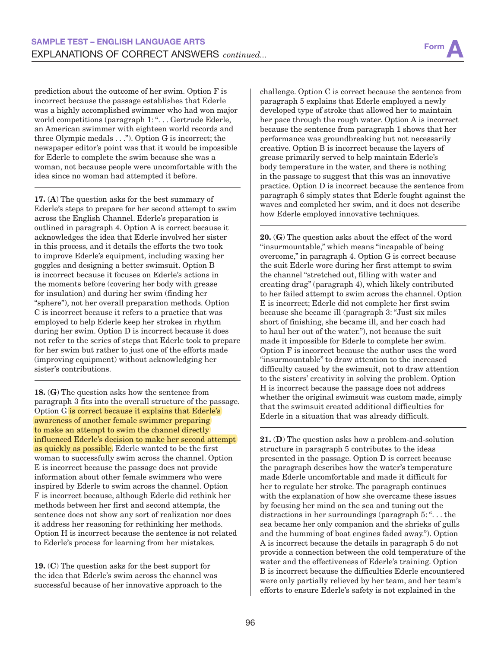prediction about the outcome of her swim. Option F is incorrect because the passage establishes that Ederle was a highly accomplished swimmer who had won major world competitions (paragraph 1: ". . . Gertrude Ederle, an American swimmer with eighteen world records and three Olympic medals . . ."). Option G is incorrect; the newspaper editor's point was that it would be impossible for Ederle to complete the swim because she was a woman, not because people were uncomfortable with the idea since no woman had attempted it before.

17. (A) The question asks for the best summary of Ederle's steps to prepare for her second attempt to swim across the English Channel. Ederle's preparation is outlined in paragraph 4. Option A is correct because it acknowledges the idea that Ederle involved her sister in this process, and it details the efforts the two took to improve Ederle's equipment, including waxing her goggles and designing a better swimsuit. Option B is incorrect because it focuses on Ederle's actions in the moments before (covering her body with grease for insulation) and during her swim (finding her "sphere"), not her overall preparation methods. Option C is incorrect because it refers to a practice that was employed to help Ederle keep her strokes in rhythm during her swim. Option D is incorrect because it does not refer to the series of steps that Ederle took to prepare for her swim but rather to just one of the efforts made (improving equipment) without acknowledging her sister's contributions.

18. (G) The question asks how the sentence from paragraph 3 fits into the overall structure of the passage. Option G is correct because it explains that Ederle's awareness of another female swimmer preparing to make an attempt to swim the channel directly influenced Ederle's decision to make her second attempt as quickly as possible. Ederle wanted to be the first woman to successfully swim across the channel. Option E is incorrect because the passage does not provide information about other female swimmers who were inspired by Ederle to swim across the channel. Option F is incorrect because, although Ederle did rethink her methods between her first and second attempts, the sentence does not show any sort of realization nor does it address her reasoning for rethinking her methods. Option H is incorrect because the sentence is not related to Ederle's process for learning from her mistakes.

19. (C) The question asks for the best support for the idea that Ederle's swim across the channel was successful because of her innovative approach to the challenge. Option C is correct because the sentence from paragraph 5 explains that Ederle employed a newly developed type of stroke that allowed her to maintain her pace through the rough water. Option A is incorrect because the sentence from paragraph 1 shows that her performance was groundbreaking but not necessarily creative. Option B is incorrect because the layers of grease primarily served to help maintain Ederle's body temperature in the water, and there is nothing in the passage to suggest that this was an innovative practice. Option D is incorrect because the sentence from paragraph 6 simply states that Ederle fought against the waves and completed her swim, and it does not describe how Ederle employed innovative techniques.

20. (G) The question asks about the effect of the word "insurmountable," which means "incapable of being overcome," in paragraph 4. Option G is correct because the suit Ederle wore during her first attempt to swim the channel "stretched out, filling with water and creating drag" (paragraph 4), which likely contributed to her failed attempt to swim across the channel. Option E is incorrect; Ederle did not complete her first swim because she became ill (paragraph 3: "Just six miles short of finishing, she became ill, and her coach had to haul her out of the water."), not because the suit made it impossible for Ederle to complete her swim. Option F is incorrect because the author uses the word "insurmountable" to draw attention to the increased difficulty caused by the swimsuit, not to draw attention to the sisters' creativity in solving the problem. Option H is incorrect because the passage does not address whether the original swimsuit was custom made, simply that the swimsuit created additional difficulties for Ederle in a situation that was already difficult.

21. (D) The question asks how a problem-and-solution structure in paragraph 5 contributes to the ideas presented in the passage. Option D is correct because the paragraph describes how the water's temperature made Ederle uncomfortable and made it difficult for her to regulate her stroke. The paragraph continues with the explanation of how she overcame these issues by focusing her mind on the sea and tuning out the distractions in her surroundings (paragraph 5: ". . . the sea became her only companion and the shrieks of gulls and the humming of boat engines faded away."). Option A is incorrect because the details in paragraph 5 do not provide a connection between the cold temperature of the water and the effectiveness of Ederle's training. Option B is incorrect because the difficulties Ederle encountered were only partially relieved by her team, and her team's efforts to ensure Ederle's safety is not explained in the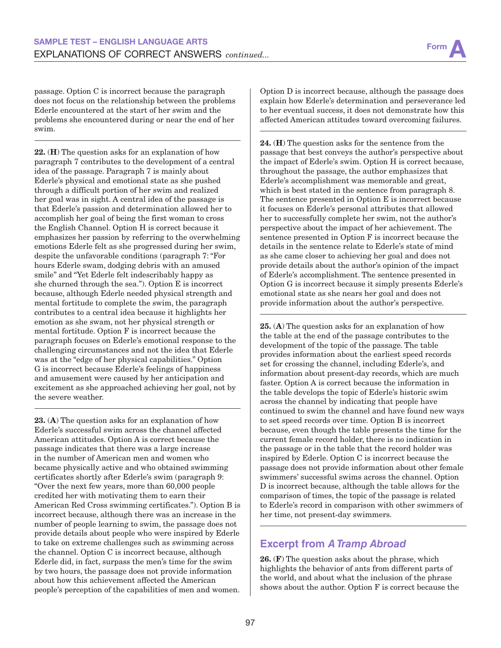passage. Option C is incorrect because the paragraph does not focus on the relationship between the problems Ederle encountered at the start of her swim and the problems she encountered during or near the end of her swim.

22. (H) The question asks for an explanation of how paragraph 7 contributes to the development of a central idea of the passage. Paragraph 7 is mainly about Ederle's physical and emotional state as she pushed through a difficult portion of her swim and realized her goal was in sight. A central idea of the passage is that Ederle's passion and determination allowed her to accomplish her goal of being the first woman to cross the English Channel. Option H is correct because it emphasizes her passion by referring to the overwhelming emotions Ederle felt as she progressed during her swim, despite the unfavorable conditions (paragraph 7: "For hours Ederle swam, dodging debris with an amused smile" and "Yet Ederle felt indescribably happy as she churned through the sea."). Option E is incorrect because, although Ederle needed physical strength and mental fortitude to complete the swim, the paragraph contributes to a central idea because it highlights her emotion as she swam, not her physical strength or mental fortitude. Option F is incorrect because the paragraph focuses on Ederle's emotional response to the challenging circumstances and not the idea that Ederle was at the "edge of her physical capabilities." Option G is incorrect because Ederle's feelings of happiness and amusement were caused by her anticipation and excitement as she approached achieving her goal, not by the severe weather.

23. (A) The question asks for an explanation of how Ederle's successful swim across the channel affected American attitudes. Option A is correct because the passage indicates that there was a large increase in the number of American men and women who became physically active and who obtained swimming certificates shortly after Ederle's swim (paragraph 9: "Over the next few years, more than 60,000 people credited her with motivating them to earn their American Red Cross swimming certificates."). Option B is incorrect because, although there was an increase in the number of people learning to swim, the passage does not provide details about people who were inspired by Ederle to take on extreme challenges such as swimming across the channel. Option C is incorrect because, although Ederle did, in fact, surpass the men's time for the swim by two hours, the passage does not provide information about how this achievement affected the American people's perception of the capabilities of men and women. Option D is incorrect because, although the passage does explain how Ederle's determination and perseverance led to her eventual success, it does not demonstrate how this affected American attitudes toward overcoming failures.

24. (H) The question asks for the sentence from the passage that best conveys the author's perspective about the impact of Ederle's swim. Option H is correct because, throughout the passage, the author emphasizes that Ederle's accomplishment was memorable and great, which is best stated in the sentence from paragraph 8. The sentence presented in Option E is incorrect because it focuses on Ederle's personal attributes that allowed her to successfully complete her swim, not the author's perspective about the impact of her achievement. The sentence presented in Option F is incorrect because the details in the sentence relate to Ederle's state of mind as she came closer to achieving her goal and does not provide details about the author's opinion of the impact of Ederle's accomplishment. The sentence presented in Option G is incorrect because it simply presents Ederle's emotional state as she nears her goal and does not provide information about the author's perspective.

25. (A) The question asks for an explanation of how the table at the end of the passage contributes to the development of the topic of the passage. The table provides information about the earliest speed records set for crossing the channel, including Ederle's, and information about present-day records, which are much faster. Option A is correct because the information in the table develops the topic of Ederle's historic swim across the channel by indicating that people have continued to swim the channel and have found new ways to set speed records over time. Option B is incorrect because, even though the table presents the time for the current female record holder, there is no indication in the passage or in the table that the record holder was inspired by Ederle. Option C is incorrect because the passage does not provide information about other female swimmers' successful swims across the channel. Option D is incorrect because, although the table allows for the comparison of times, the topic of the passage is related to Ederle's record in comparison with other swimmers of her time, not present-day swimmers.

## **Excerpt from** *A Tramp Abroad*

26. (F) The question asks about the phrase, which highlights the behavior of ants from different parts of the world, and about what the inclusion of the phrase shows about the author. Option F is correct because the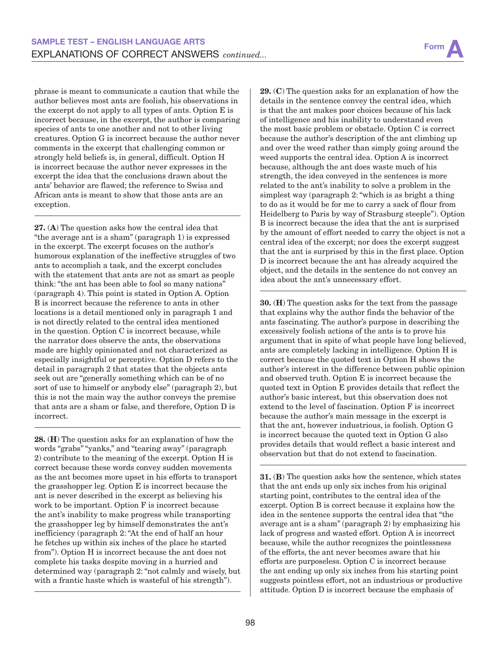phrase is meant to communicate a caution that while the author believes most ants are foolish, his observations in the excerpt do not apply to all types of ants. Option E is incorrect because, in the excerpt, the author is comparing species of ants to one another and not to other living creatures. Option G is incorrect because the author never comments in the excerpt that challenging common or strongly held beliefs is, in general, difficult. Option H is incorrect because the author never expresses in the excerpt the idea that the conclusions drawn about the ants' behavior are flawed; the reference to Swiss and African ants is meant to show that those ants are an exception.

27. (A) The question asks how the central idea that "the average ant is a sham" (paragraph 1) is expressed in the excerpt. The excerpt focuses on the author's humorous explanation of the ineffective struggles of two ants to accomplish a task, and the excerpt concludes with the statement that ants are not as smart as people think: "the ant has been able to fool so many nations" (paragraph 4). This point is stated in Option A. Option B is incorrect because the reference to ants in other locations is a detail mentioned only in paragraph 1 and is not directly related to the central idea mentioned in the question. Option C is incorrect because, while the narrator does observe the ants, the observations made are highly opinionated and not characterized as especially insightful or perceptive. Option D refers to the detail in paragraph 2 that states that the objects ants seek out are "generally something which can be of no sort of use to himself or anybody else" (paragraph 2), but this is not the main way the author conveys the premise that ants are a sham or false, and therefore, Option D is incorrect.

28. (H) The question asks for an explanation of how the words "grabs" "yanks," and "tearing away" (paragraph 2) contribute to the meaning of the excerpt. Option H is correct because these words convey sudden movements as the ant becomes more upset in his efforts to transport the grasshopper leg. Option E is incorrect because the ant is never described in the excerpt as believing his work to be important. Option F is incorrect because the ant's inability to make progress while transporting the grasshopper leg by himself demonstrates the ant's inefficiency (paragraph 2: "At the end of half an hour he fetches up within six inches of the place he started from"). Option H is incorrect because the ant does not complete his tasks despite moving in a hurried and determined way (paragraph 2: "not calmly and wisely, but with a frantic haste which is wasteful of his strength").

29. (C) The question asks for an explanation of how the details in the sentence convey the central idea, which is that the ant makes poor choices because of his lack of intelligence and his inability to understand even the most basic problem or obstacle. Option C is correct because the author's description of the ant climbing up and over the weed rather than simply going around the weed supports the central idea. Option A is incorrect because, although the ant does waste much of his strength, the idea conveyed in the sentences is more related to the ant's inability to solve a problem in the simplest way (paragraph 2: "which is as bright a thing to do as it would be for me to carry a sack of flour from Heidelberg to Paris by way of Strasburg steeple"). Option B is incorrect because the idea that the ant is surprised by the amount of effort needed to carry the object is not a central idea of the excerpt; nor does the excerpt suggest that the ant is surprised by this in the first place. Option D is incorrect because the ant has already acquired the object, and the details in the sentence do not convey an idea about the ant's unnecessary effort.

30. (H) The question asks for the text from the passage that explains why the author finds the behavior of the ants fascinating. The author's purpose in describing the excessively foolish actions of the ants is to prove his argument that in spite of what people have long believed, ants are completely lacking in intelligence. Option H is correct because the quoted text in Option H shows the author's interest in the difference between public opinion and observed truth. Option E is incorrect because the quoted text in Option E provides details that reflect the author's basic interest, but this observation does not extend to the level of fascination. Option F is incorrect because the author's main message in the excerpt is that the ant, however industrious, is foolish. Option G is incorrect because the quoted text in Option G also provides details that would reflect a basic interest and observation but that do not extend to fascination.

31. (B) The question asks how the sentence, which states that the ant ends up only six inches from his original starting point, contributes to the central idea of the excerpt. Option B is correct because it explains how the idea in the sentence supports the central idea that "the average ant is a sham" (paragraph 2) by emphasizing his lack of progress and wasted effort. Option A is incorrect because, while the author recognizes the pointlessness of the efforts, the ant never becomes aware that his efforts are purposeless. Option C is incorrect because the ant ending up only six inches from his starting point suggests pointless effort, not an industrious or productive attitude. Option D is incorrect because the emphasis of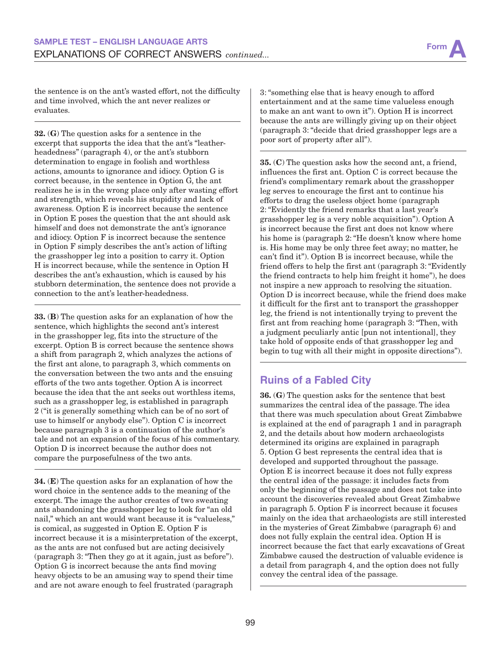

the sentence is on the ant's wasted effort, not the difficulty and time involved, which the ant never realizes or evaluates.

32. (G) The question asks for a sentence in the excerpt that supports the idea that the ant's "leatherheadedness" (paragraph 4), or the ant's stubborn determination to engage in foolish and worthless actions, amounts to ignorance and idiocy. Option G is correct because, in the sentence in Option G, the ant realizes he is in the wrong place only after wasting effort and strength, which reveals his stupidity and lack of awareness. Option E is incorrect because the sentence in Option E poses the question that the ant should ask himself and does not demonstrate the ant's ignorance and idiocy. Option F is incorrect because the sentence in Option F simply describes the ant's action of lifting the grasshopper leg into a position to carry it. Option H is incorrect because, while the sentence in Option H describes the ant's exhaustion, which is caused by his stubborn determination, the sentence does not provide a connection to the ant's leather-headedness.

33. (B) The question asks for an explanation of how the sentence, which highlights the second ant's interest in the grasshopper leg, fits into the structure of the excerpt. Option B is correct because the sentence shows a shift from paragraph 2, which analyzes the actions of the first ant alone, to paragraph 3, which comments on the conversation between the two ants and the ensuing efforts of the two ants together. Option A is incorrect because the idea that the ant seeks out worthless items, such as a grasshopper leg, is established in paragraph 2 ("it is generally something which can be of no sort of use to himself or anybody else"). Option C is incorrect because paragraph 3 is a continuation of the author's tale and not an expansion of the focus of his commentary. Option D is incorrect because the author does not compare the purposefulness of the two ants.

34. (E) The question asks for an explanation of how the word choice in the sentence adds to the meaning of the excerpt. The image the author creates of two sweating ants abandoning the grasshopper leg to look for "an old nail," which an ant would want because it is "valueless," is comical, as suggested in Option E. Option F is incorrect because it is a misinterpretation of the excerpt, as the ants are not confused but are acting decisively (paragraph 3: "Then they go at it again, just as before"). Option G is incorrect because the ants find moving heavy objects to be an amusing way to spend their time and are not aware enough to feel frustrated (paragraph

3: "something else that is heavy enough to afford entertainment and at the same time valueless enough to make an ant want to own it"). Option H is incorrect because the ants are willingly giving up on their object (paragraph 3: "decide that dried grasshopper legs are a poor sort of property after all").

35. (C) The question asks how the second ant, a friend, influences the first ant. Option C is correct because the friend's complimentary remark about the grasshopper leg serves to encourage the first ant to continue his efforts to drag the useless object home (paragraph 2: "Evidently the friend remarks that a last year's grasshopper leg is a very noble acquisition"). Option A is incorrect because the first ant does not know where his home is (paragraph 2: "He doesn't know where home is. His home may be only three feet away; no matter, he can't find it"). Option B is incorrect because, while the friend offers to help the first ant (paragraph 3: "Evidently the friend contracts to help him freight it home"), he does not inspire a new approach to resolving the situation. Option D is incorrect because, while the friend does make it difficult for the first ant to transport the grasshopper leg, the friend is not intentionally trying to prevent the first ant from reaching home (paragraph 3: "Then, with a judgment peculiarly antic [pun not intentional], they take hold of opposite ends of that grasshopper leg and begin to tug with all their might in opposite directions").

### **Ruins of a Fabled City**

36. (G) The question asks for the sentence that best summarizes the central idea of the passage. The idea that there was much speculation about Great Zimbabwe is explained at the end of paragraph 1 and in paragraph 2, and the details about how modern archaeologists determined its origins are explained in paragraph 5. Option G best represents the central idea that is developed and supported throughout the passage. Option E is incorrect because it does not fully express the central idea of the passage: it includes facts from only the beginning of the passage and does not take into account the discoveries revealed about Great Zimbabwe in paragraph 5. Option F is incorrect because it focuses mainly on the idea that archaeologists are still interested in the mysteries of Great Zimbabwe (paragraph 6) and does not fully explain the central idea. Option H is incorrect because the fact that early excavations of Great Zimbabwe caused the destruction of valuable evidence is a detail from paragraph 4, and the option does not fully convey the central idea of the passage.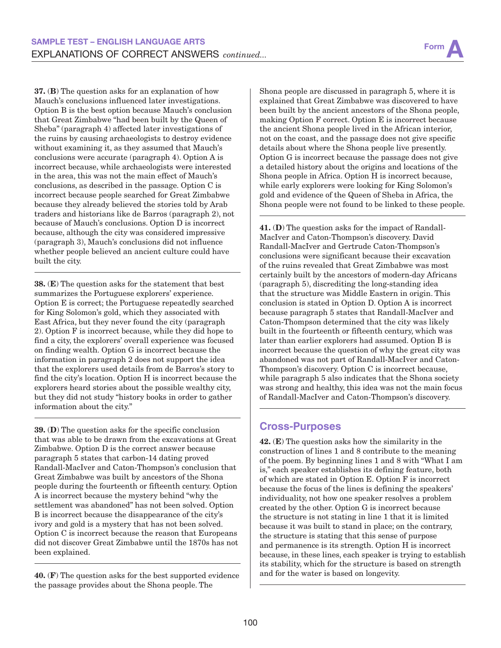37. (B) The question asks for an explanation of how Mauch's conclusions influenced later investigations. Option B is the best option because Mauch's conclusion that Great Zimbabwe "had been built by the Queen of Sheba" (paragraph 4) affected later investigations of the ruins by causing archaeologists to destroy evidence without examining it, as they assumed that Mauch's conclusions were accurate (paragraph 4). Option A is incorrect because, while archaeologists were interested in the area, this was not the main effect of Mauch's conclusions, as described in the passage. Option C is incorrect because people searched for Great Zimbabwe because they already believed the stories told by Arab traders and historians like de Barros (paragraph 2), not because of Mauch's conclusions. Option D is incorrect because, although the city was considered impressive (paragraph 3), Mauch's conclusions did not influence whether people believed an ancient culture could have built the city.

38. (E) The question asks for the statement that best summarizes the Portuguese explorers' experience. Option E is correct; the Portuguese repeatedly searched for King Solomon's gold, which they associated with East Africa, but they never found the city (paragraph 2). Option F is incorrect because, while they did hope to find a city, the explorers' overall experience was focused on finding wealth. Option G is incorrect because the information in paragraph 2 does not support the idea that the explorers used details from de Barros's story to find the city's location. Option H is incorrect because the explorers heard stories about the possible wealthy city, but they did not study "history books in order to gather information about the city."

39. (D) The question asks for the specific conclusion that was able to be drawn from the excavations at Great Zimbabwe. Option D is the correct answer because paragraph 5 states that carbon-14 dating proved Randall-MacIver and Caton-Thompson's conclusion that Great Zimbabwe was built by ancestors of the Shona people during the fourteenth or fifteenth century. Option A is incorrect because the mystery behind "why the settlement was abandoned" has not been solved. Option B is incorrect because the disappearance of the city's ivory and gold is a mystery that has not been solved. Option C is incorrect because the reason that Europeans did not discover Great Zimbabwe until the 1870s has not been explained.

40. (F) The question asks for the best supported evidence the passage provides about the Shona people. The

Shona people are discussed in paragraph 5, where it is explained that Great Zimbabwe was discovered to have been built by the ancient ancestors of the Shona people, making Option F correct. Option E is incorrect because the ancient Shona people lived in the African interior, not on the coast, and the passage does not give specific details about where the Shona people live presently. Option G is incorrect because the passage does not give a detailed history about the origins and locations of the Shona people in Africa. Option H is incorrect because, while early explorers were looking for King Solomon's gold and evidence of the Queen of Sheba in Africa, the Shona people were not found to be linked to these people.

41. (D) The question asks for the impact of Randall-MacIver and Caton-Thompson's discovery. David Randall-MacIver and Gertrude Caton-Thompson's conclusions were significant because their excavation of the ruins revealed that Great Zimbabwe was most certainly built by the ancestors of modern-day Africans (paragraph 5), discrediting the long-standing idea that the structure was Middle Eastern in origin. This conclusion is stated in Option D. Option A is incorrect because paragraph 5 states that Randall-MacIver and Caton-Thompson determined that the city was likely built in the fourteenth or fifteenth century, which was later than earlier explorers had assumed. Option B is incorrect because the question of why the great city was abandoned was not part of Randall-MacIver and Caton-Thompson's discovery. Option C is incorrect because, while paragraph 5 also indicates that the Shona society was strong and healthy, this idea was not the main focus of Randall-MacIver and Caton-Thompson's discovery.

#### **Cross-Purposes**

42. (E) The question asks how the similarity in the construction of lines 1 and 8 contribute to the meaning of the poem. By beginning lines 1 and 8 with "What I am is," each speaker establishes its defining feature, both of which are stated in Option E. Option F is incorrect because the focus of the lines is defining the speakers' individuality, not how one speaker resolves a problem created by the other. Option G is incorrect because the structure is not stating in line 1 that it is limited because it was built to stand in place; on the contrary, the structure is stating that this sense of purpose and permanence is its strength. Option H is incorrect because, in these lines, each speaker is trying to establish its stability, which for the structure is based on strength and for the water is based on longevity.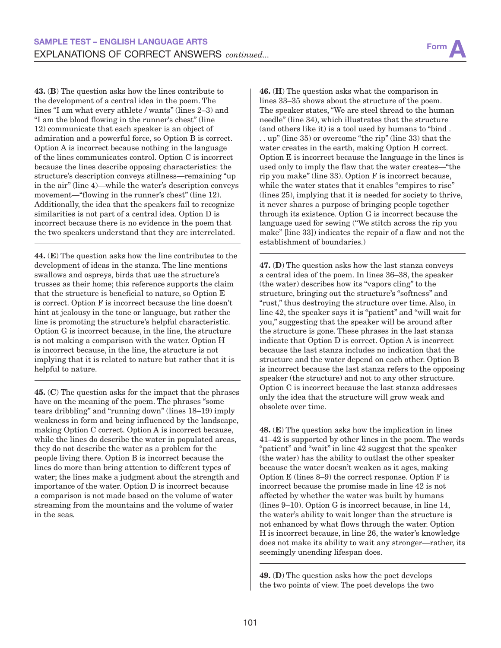43. (B) The question asks how the lines contribute to the development of a central idea in the poem. The lines "I am what every athlete / wants" (lines 2–3) and "I am the blood flowing in the runner's chest" (line 12) communicate that each speaker is an object of admiration and a powerful force, so Option B is correct. Option A is incorrect because nothing in the language of the lines communicates control. Option C is incorrect because the lines describe opposing characteristics: the structure's description conveys stillness—remaining "up in the air" (line 4)—while the water's description conveys movement—"flowing in the runner's chest" (line 12). Additionally, the idea that the speakers fail to recognize similarities is not part of a central idea. Option D is incorrect because there is no evidence in the poem that the two speakers understand that they are interrelated.

44. (E) The question asks how the line contributes to the development of ideas in the stanza. The line mentions swallows and ospreys, birds that use the structure's trusses as their home; this reference supports the claim that the structure is beneficial to nature, so Option E is correct. Option F is incorrect because the line doesn't hint at jealousy in the tone or language, but rather the line is promoting the structure's helpful characteristic. Option G is incorrect because, in the line, the structure is not making a comparison with the water. Option H is incorrect because, in the line, the structure is not implying that it is related to nature but rather that it is helpful to nature.

45. (C) The question asks for the impact that the phrases have on the meaning of the poem. The phrases "some tears dribbling" and "running down" (lines 18–19) imply weakness in form and being influenced by the landscape, making Option C correct. Option A is incorrect because, while the lines do describe the water in populated areas, they do not describe the water as a problem for the people living there. Option B is incorrect because the lines do more than bring attention to different types of water; the lines make a judgment about the strength and importance of the water. Option D is incorrect because a comparison is not made based on the volume of water streaming from the mountains and the volume of water in the seas.

46. (H) The question asks what the comparison in lines 33–35 shows about the structure of the poem. The speaker states, "We are steel thread to the human needle" (line 34), which illustrates that the structure (and others like it) is a tool used by humans to "bind . . . up" (line 35) or overcome "the rip" (line 33) that the water creates in the earth, making Option H correct. Option E is incorrect because the language in the lines is used only to imply the flaw that the water creates—"the rip you make" (line 33). Option F is incorrect because, while the water states that it enables "empires to rise" (lines 25), implying that it is needed for society to thrive, it never shares a purpose of bringing people together through its existence. Option G is incorrect because the language used for sewing ("We stitch across the rip you make" [line 33]) indicates the repair of a flaw and not the establishment of boundaries.)

47. (D) The question asks how the last stanza conveys a central idea of the poem. In lines 36–38, the speaker (the water) describes how its "vapors cling" to the structure, bringing out the structure's "softness" and "rust," thus destroying the structure over time. Also, in line 42, the speaker says it is "patient" and "will wait for you," suggesting that the speaker will be around after the structure is gone. These phrases in the last stanza indicate that Option D is correct. Option A is incorrect because the last stanza includes no indication that the structure and the water depend on each other. Option B is incorrect because the last stanza refers to the opposing speaker (the structure) and not to any other structure. Option C is incorrect because the last stanza addresses only the idea that the structure will grow weak and obsolete over time.

48. (E) The question asks how the implication in lines 41–42 is supported by other lines in the poem. The words "patient" and "wait" in line 42 suggest that the speaker (the water) has the ability to outlast the other speaker because the water doesn't weaken as it ages, making Option E (lines 8–9) the correct response. Option F is incorrect because the promise made in line 42 is not affected by whether the water was built by humans (lines 9–10). Option G is incorrect because, in line 14, the water's ability to wait longer than the structure is not enhanced by what flows through the water. Option H is incorrect because, in line 26, the water's knowledge does not make its ability to wait any stronger—rather, its seemingly unending lifespan does.

49. (D) The question asks how the poet develops the two points of view. The poet develops the two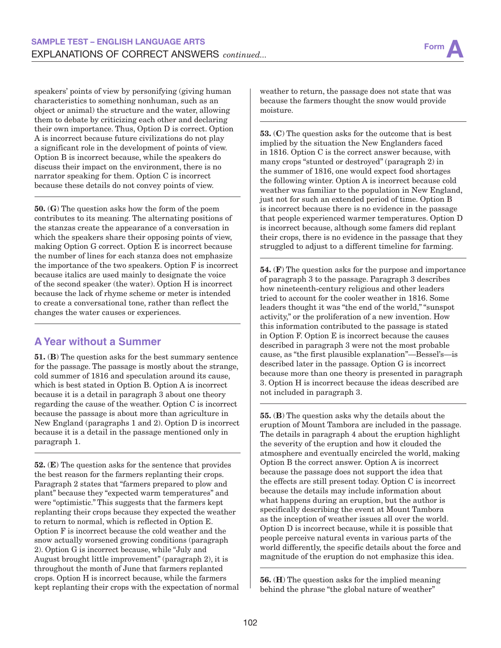speakers' points of view by personifying (giving human characteristics to something nonhuman, such as an object or animal) the structure and the water, allowing them to debate by criticizing each other and declaring their own importance. Thus, Option D is correct. Option A is incorrect because future civilizations do not play a significant role in the development of points of view. Option B is incorrect because, while the speakers do discuss their impact on the environment, there is no narrator speaking for them. Option C is incorrect because these details do not convey points of view.

50. (G) The question asks how the form of the poem contributes to its meaning. The alternating positions of the stanzas create the appearance of a conversation in which the speakers share their opposing points of view, making Option G correct. Option E is incorrect because the number of lines for each stanza does not emphasize the importance of the two speakers. Option F is incorrect because italics are used mainly to designate the voice of the second speaker (the water). Option H is incorrect because the lack of rhyme scheme or meter is intended to create a conversational tone, rather than reflect the changes the water causes or experiences.

### **A Year without a Summer**

51. (B) The question asks for the best summary sentence for the passage. The passage is mostly about the strange, cold summer of 1816 and speculation around its cause, which is best stated in Option B. Option A is incorrect because it is a detail in paragraph 3 about one theory regarding the cause of the weather. Option C is incorrect because the passage is about more than agriculture in New England (paragraphs 1 and 2). Option D is incorrect because it is a detail in the passage mentioned only in paragraph 1.

52. (E) The question asks for the sentence that provides the best reason for the farmers replanting their crops. Paragraph 2 states that "farmers prepared to plow and plant" because they "expected warm temperatures" and were "optimistic." This suggests that the farmers kept replanting their crops because they expected the weather to return to normal, which is reflected in Option E. Option F is incorrect because the cold weather and the snow actually worsened growing conditions (paragraph 2). Option G is incorrect because, while "July and August brought little improvement" (paragraph 2), it is throughout the month of June that farmers replanted crops. Option H is incorrect because, while the farmers kept replanting their crops with the expectation of normal

weather to return, the passage does not state that was because the farmers thought the snow would provide moisture.

53. (C) The question asks for the outcome that is best implied by the situation the New Englanders faced in 1816. Option C is the correct answer because, with many crops "stunted or destroyed" (paragraph 2) in the summer of 1816, one would expect food shortages the following winter. Option A is incorrect because cold weather was familiar to the population in New England, just not for such an extended period of time. Option B is incorrect because there is no evidence in the passage that people experienced warmer temperatures. Option D is incorrect because, although some famers did replant their crops, there is no evidence in the passage that they struggled to adjust to a different timeline for farming.

54. (F) The question asks for the purpose and importance of paragraph 3 to the passage. Paragraph 3 describes how nineteenth-century religious and other leaders tried to account for the cooler weather in 1816. Some leaders thought it was "the end of the world," "sunspot activity," or the proliferation of a new invention. How this information contributed to the passage is stated in Option F. Option E is incorrect because the causes described in paragraph 3 were not the most probable cause, as "the first plausible explanation"—Bessel's—is described later in the passage. Option G is incorrect because more than one theory is presented in paragraph 3. Option H is incorrect because the ideas described are not included in paragraph 3.

55. (B) The question asks why the details about the eruption of Mount Tambora are included in the passage. The details in paragraph 4 about the eruption highlight the severity of the eruption and how it clouded the atmosphere and eventually encircled the world, making Option B the correct answer. Option A is incorrect because the passage does not support the idea that the effects are still present today. Option C is incorrect because the details may include information about what happens during an eruption, but the author is specifically describing the event at Mount Tambora as the inception of weather issues all over the world. Option D is incorrect because, while it is possible that people perceive natural events in various parts of the world differently, the specific details about the force and magnitude of the eruption do not emphasize this idea.

56. (H) The question asks for the implied meaning behind the phrase "the global nature of weather"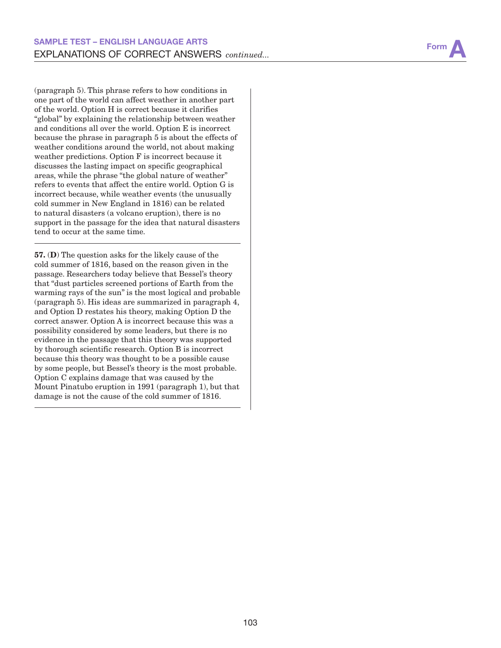

(paragraph 5). This phrase refers to how conditions in one part of the world can affect weather in another part of the world. Option H is correct because it clarifies "global" by explaining the relationship between weather and conditions all over the world. Option E is incorrect because the phrase in paragraph 5 is about the effects of weather conditions around the world, not about making weather predictions. Option F is incorrect because it discusses the lasting impact on specific geographical areas, while the phrase "the global nature of weather" refers to events that affect the entire world. Option G is incorrect because, while weather events (the unusually cold summer in New England in 1816) can be related to natural disasters (a volcano eruption), there is no support in the passage for the idea that natural disasters tend to occur at the same time.

57. (D) The question asks for the likely cause of the cold summer of 1816, based on the reason given in the passage. Researchers today believe that Bessel's theory that "dust particles screened portions of Earth from the warming rays of the sun" is the most logical and probable (paragraph 5). His ideas are summarized in paragraph 4, and Option D restates his theory, making Option D the correct answer. Option A is incorrect because this was a possibility considered by some leaders, but there is no evidence in the passage that this theory was supported by thorough scientific research. Option B is incorrect because this theory was thought to be a possible cause by some people, but Bessel's theory is the most probable. Option C explains damage that was caused by the Mount Pinatubo eruption in 1991 (paragraph 1), but that damage is not the cause of the cold summer of 1816.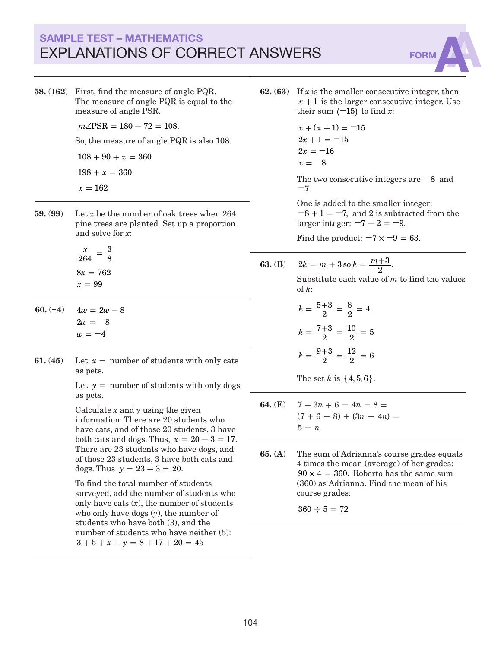# SAMPLE TEST – MATHEMATICS EXPLANATIONS OF CORRECT ANSWERS FORM

58. (162) First, find the measure of angle PQR. The measure of angle PQR is equal to the measure of angle PSR.

 $m\angle$ PSR = 180 - 72 = 108.

So, the measure of angle PQR is also 108.

 $108 + 90 + x = 360$ 

 $198 + x = 360$ 

- $x = 162$
- 59. (99) Let *x* be the number of oak trees when 264 pine trees are planted. Set up a proportion and solve for *x*:

*x*  $8x = 762$  $x = 99$ 264 3  $=\frac{8}{8}$ 

- 60.  $(-4)$   $4w = 2w 8$  $2w = -8$  $w = -4$
- **61.** (45) Let  $x =$  number of students with only cats as pets.

Let  $y =$  number of students with only dogs as pets.

Calculate *x* and *y* using the given information: There are 20 students who have cats, and of those 20 students, 3 have both cats and dogs. Thus,  $x = 20 - 3 = 17$ . There are 23 students who have dogs, and of those 23 students, 3 have both cats and dogs. Thus  $y = 23 - 3 = 20$ .

To find the total number of students surveyed, add the number of students who only have cats  $(x)$ , the number of students who only have dogs (*y*), the number of students who have both (3), and the number of students who have neither  $(5)$ :  $3 + 5 + x + y = 8 + 17 + 20 = 45$ 

**62. (63)** If  $x$  is the smaller consecutive integer, then  $x + 1$  is the larger consecutive integer. Use their sum  $(-15)$  to find *x*:

$$
x + (x + 1) = -15
$$
  
\n
$$
2x + 1 = -15
$$
  
\n
$$
2x = -16
$$
  
\n
$$
x = -8
$$

The two consecutive integers are **−**8 and **−**7.

One is added to the smaller integer:  $-8 + 1 = -7$ , and 2 is subtracted from the larger integer:  $-7 - 2 = -9$ .

Find the product:  $-7 \times -9 = 63$ .

**63.** (B) 
$$
2k = m + 3
$$
 so  $k = \frac{m+3}{2}$ .

Substitute each value of *m* to find the values of *k*:

$$
k = \frac{5+3}{2} = \frac{8}{2} = 4
$$

$$
k = \frac{7+3}{2} = \frac{10}{2} = 5
$$

$$
k = \frac{9+3}{2} = \frac{12}{2} = 6
$$

The set *k* is  $\{4, 5, 6\}$ .

- **64.** (**E**)  $7 + 3n + 6 4n 8 =$  $(7 + 6 - 8) + (3n - 4n) =$  $5 - n$
- 65. (A) The sum of Adrianna's course grades equals 4 times the mean (average) of her grades:  $90 \times 4 = 360$ . Roberto has the same sum (360) as Adrianna. Find the mean of his course grades:

 $360 \div 5 = 72$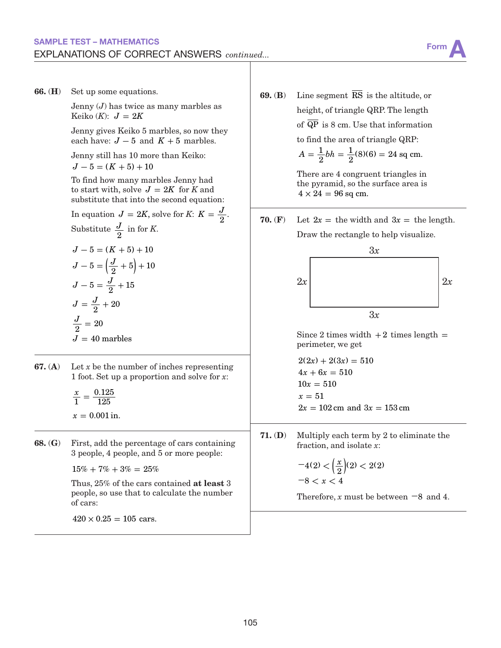

66. (H) Set up some equations.

Jenny (*J*) has twice as many marbles as Keiko  $(K)$ :  $J = 2K$ 

Jenny gives Keiko 5 marbles, so now they each have:  $J - 5$  and  $K + 5$  marbles.

Jenny still has 10 more than Keiko:  $J - 5 = (K + 5) + 10$ 

To find how many marbles Jenny had to start with, solve  $J = 2K$  for *K* and substitute that into the second equation:

In equation  $J = 2K$ , solve for  $K: K = \frac{J}{2}$ . Substitute  $\frac{J}{2}$  in for *K*.

$$
J - 5 = (K + 5) + 10
$$
  
\n
$$
J - 5 = \left(\frac{J}{2} + 5\right) + 10
$$
  
\n
$$
J - 5 = \frac{J}{2} + 15
$$
  
\n
$$
J = \frac{J}{2} + 20
$$
  
\n
$$
\frac{J}{2} = 20
$$
  
\n
$$
J = 40
$$
 marbles

- **67.** (A) Let *x* be the number of inches representing 1 foot. Set up a proportion and solve for *x*:
	- *x*  $x = 0.001$  in. 1 0.125  $=\frac{0.125}{125}$
- 68. (G) First, add the percentage of cars containing 3 people, 4 people, and 5 or more people:  $15\% + 7\% + 3\% = 25\%$

Thus, 25% of the cars contained at least 3 people, so use that to calculate the number of cars:

 $420 \times 0.25 = 105$  cars.

- **69. (B)** Line segment  $\overline{\text{RS}}$  is the altitude, or height, of triangle QRP. The length of  $\overline{QP}$  is 8 cm. Use that information to find the area of triangle QRP:  $A = \frac{1}{2}bh$  $=\frac{1}{2}bh = \frac{1}{2}(8)(6) = 24$  sq cm. There are 4 congruent triangles in the pyramid, so the surface area is  $4 \times 24 = 96$  sq cm.
- **70.** (F) Let  $2x =$  the width and  $3x =$  the length. Draw the rectangle to help visualize.



Since 2 times width  $+2$  times length  $=$ perimeter, we get

$$
2(2x) + 2(3x) = 510
$$
  
\n
$$
4x + 6x = 510
$$
  
\n
$$
10x = 510
$$
  
\n
$$
x = 51
$$
  
\n
$$
2x = 102 \text{ cm and } 3x = 153 \text{ cm}
$$

71. (D) Multiply each term by 2 to eliminate the fraction, and isolate *x*:

$$
-4(2) < \left(\frac{x}{2}\right)(2) < 2(2) \\
-8 < x < 4
$$

Therefore, *x* must be between **−**8 and 4.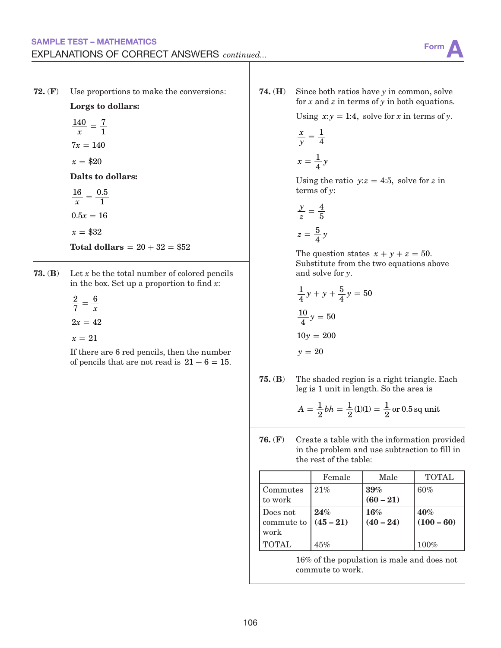#### SAMPLE TEST – MATHEMATICS EXPLANATIONS OF CORRECT ANSWERS *continued...*

72. (F) Use proportions to make the conversions:

Lorgs to dollars:

$$
\frac{140}{x} = \frac{7}{1}
$$

$$
7x = 140
$$

 $x = $20$ 

Dalts to dollars:

*x*  $0.5x = 16$  $16$   $\_$  0.5  $=\frac{0.8}{1}$ 

 $x = $32$ 

 $Total dollars = 20 + 32 = $52$ 

**73.** (**B**) Let  $x$  be the total number of colored pencils in the box. Set up a proportion to find *x*:

> *x*  $2x = 42$  $x = 21$ 2 7  $=$  $\frac{6}{1}$

If there are 6 red pencils, then the number of pencils that are not read is  $21 - 6 = 15$ . 74. (H) Since both ratios have *y* in common, solve for *x* and *z* in terms of *y* in both equations.

Using  $x:y = 1:4$ , solve for *x* in terms of *y*.

$$
\frac{x}{y} = \frac{1}{4}
$$

$$
x = \frac{1}{4}y
$$

Using the ratio  $y:z = 4:5$ , solve for z in terms of *y*:

$$
\frac{y}{z} = \frac{4}{5}
$$

$$
z = \frac{5}{4}y
$$

The question states  $x + y + z = 50$ . Substitute from the two equations above and solve for *y*.

$$
\frac{1}{4}y + y + \frac{5}{4}y = 50
$$

$$
\frac{10}{4}y = 50
$$

$$
10y = 200
$$

$$
y = 20
$$

75. (B) The shaded region is a right triangle. Each leg is 1 unit in length. So the area is

$$
A = \frac{1}{2}bh = \frac{1}{2}(1)(1) = \frac{1}{2}
$$
 or 0.5 sq unit

76. (F) Create a table with the information provided in the problem and use subtraction to fill in the rest of the table:

|                                | Female             | Male               | <b>TOTAL</b>        |
|--------------------------------|--------------------|--------------------|---------------------|
| Commutes<br>to work            | 21%                | 39%<br>$(60 - 21)$ | 60%                 |
| Does not<br>commute to<br>work | 24%<br>$(45 - 21)$ | 16%<br>$(40 - 24)$ | 40%<br>$(100 - 60)$ |
| <b>TOTAL</b>                   | 45%                |                    | $100\%$             |

16% of the population is male and does not commute to work.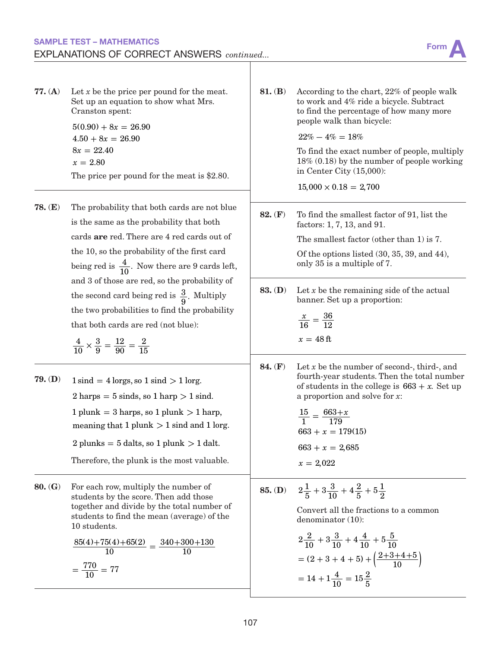### SAMPLE TEST – MATHEMATICS SAMPLE TEST – MATHEMATICS<br>EXPLANATIONS OF CORRECT ANSWERS *continued...* FOUL AND THE RESERVENT ON A

| 77. (A)<br>78. $(E)$ | Let $x$ be the price per pound for the meat.<br>Set up an equation to show what Mrs.<br>Cranston spent:<br>$5(0.90) + 8x = 26.90$<br>$4.50 + 8x = 26.90$<br>$8x = 22.40$<br>$x = 2.80$<br>The price per pound for the meat is $$2.80$ .<br>The probability that both cards are not blue<br>is the same as the probability that both<br>cards are red. There are 4 red cards out of<br>the 10, so the probability of the first card<br>being red is $\frac{4}{10}$ . Now there are 9 cards left,<br>and 3 of those are red, so the probability of<br>the second card being red is $\frac{3}{9}$ . Multiply<br>the two probabilities to find the probability<br>that both cards are red (not blue):<br>$\frac{4}{10} \times \frac{3}{9} = \frac{12}{90} = \frac{2}{15}$ | 81. (B)<br>82. $(F)$<br>83. (D) | According to the chart, 22% of people walk<br>to work and 4% ride a bicycle. Subtract<br>to find the percentage of how many more<br>people walk than bicycle:<br>$22\% - 4\% = 18\%$<br>To find the exact number of people, multiply<br>$18\%$ (0.18) by the number of people working<br>in Center City $(15,000)$ :<br>$15,000 \times 0.18 = 2,700$<br>To find the smallest factor of 91, list the<br>factors: 1, 7, 13, and 91.<br>The smallest factor (other than 1) is 7.<br>Of the options listed (30, 35, 39, and 44),<br>only 35 is a multiple of 7.<br>Let $x$ be the remaining side of the actual<br>banner. Set up a proportion:<br>$\frac{x}{16} = \frac{36}{12}$<br>$x = 48$ ft |  |  |  |
|----------------------|-----------------------------------------------------------------------------------------------------------------------------------------------------------------------------------------------------------------------------------------------------------------------------------------------------------------------------------------------------------------------------------------------------------------------------------------------------------------------------------------------------------------------------------------------------------------------------------------------------------------------------------------------------------------------------------------------------------------------------------------------------------------------|---------------------------------|---------------------------------------------------------------------------------------------------------------------------------------------------------------------------------------------------------------------------------------------------------------------------------------------------------------------------------------------------------------------------------------------------------------------------------------------------------------------------------------------------------------------------------------------------------------------------------------------------------------------------------------------------------------------------------------------|--|--|--|
| $79.$ (D)            | $1 \text{ sind} = 4 \text{ lorgs, so } 1 \text{ sind} > 1 \text{ lorg.}$<br>$2 \text{ harps} = 5 \text{ sinds}$ , so $1 \text{ harp} > 1 \text{ sind}$ .<br>$1$ plunk = 3 harps, so $1$ plunk $> 1$ harp,<br>meaning that 1 plunk $> 1$ sind and 1 lorg.<br>2 plunks = $5$ dalts, so 1 plunk $> 1$ dalt.<br>Therefore, the plunk is the most valuable.                                                                                                                                                                                                                                                                                                                                                                                                                | 84. (F)                         | Let $x$ be the number of second-, third-, and<br>fourth-year students. Then the total number<br>of students in the college is $663 + x$ . Set up<br>a proportion and solve for $x$ :<br>$\frac{15}{1} = \frac{663 + x}{179}$<br>$663 + x = 179(15)$<br>$663 + x = 2,685$<br>$x = 2,022$                                                                                                                                                                                                                                                                                                                                                                                                     |  |  |  |
| 80. (G)              | For each row, multiply the number of<br>students by the score. Then add those<br>together and divide by the total number of<br>students to find the mean (average) of the<br>10 students.<br>$\frac{85(4) + 75(4) + 65(2)}{10} = \frac{340 + 300 + 130}{10}$<br>$=\frac{770}{10}=77$                                                                                                                                                                                                                                                                                                                                                                                                                                                                                  | 85. (D)                         | $2\frac{1}{5}+3\frac{3}{10}+4\frac{2}{5}+5\frac{1}{2}$<br>Convert all the fractions to a common<br>denominator (10):<br>$2\frac{2}{10} + 3\frac{3}{10} + 4\frac{4}{10} + 5\frac{5}{10}$<br>$=(2+3+4+5)+\left(\frac{2+3+4+5}{10}\right)$<br>$= 14 + 1\frac{4}{10} = 15\frac{2}{5}$                                                                                                                                                                                                                                                                                                                                                                                                           |  |  |  |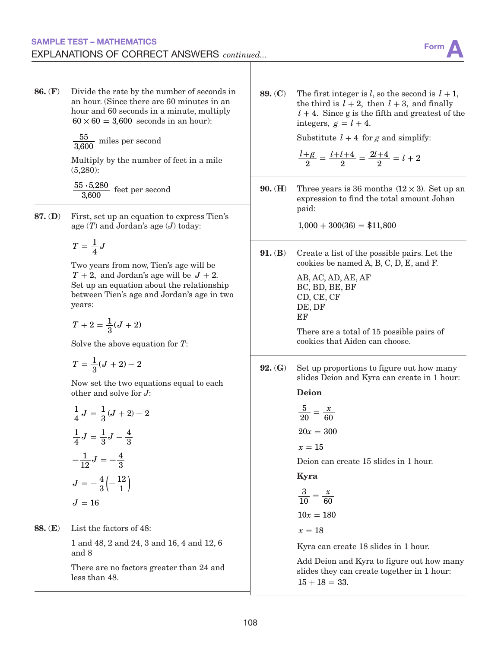#### SAMPLE TEST – MATHEMATICS EXPLANATIONS OF CORRECT ANSWERS *continued...*



86. (F) Divide the rate by the number of seconds in an hour. (Since there are 60 minutes in an hour and 60 seconds in a minute, multiply  $60 \times 60 = 3,600$  seconds in an hour):

 $\frac{55}{3,600}$  miles per second

Multiply by the number of feet in a mile (5,280):

 $55 - 5,280$  $\frac{3 \cdot 5,280}{3,600}$  feet per second

87. (D) First, set up an equation to express Tien's age (*T*) and Jordan's age (*J*) today:

$$
T=\frac{1}{4}J
$$

Two years from now, Tien's age will be  $T + 2$ , and Jordan's age will be  $J + 2$ . Set up an equation about the relationship between Tien's age and Jordan's age in two years:

$$
T+2=\frac{1}{3}(J+2)
$$

Solve the above equation for *T*:

$$
T = \frac{1}{3}(J+2) - 2
$$

Now set the two equations equal to each other and solve for *J*:

$$
\frac{1}{4}J = \frac{1}{3}(J+2) - 2
$$

$$
\frac{1}{4}J = \frac{1}{3}J - \frac{4}{3}
$$

$$
-\frac{1}{12}J = -\frac{4}{3}
$$

$$
J = -\frac{4}{3}(-\frac{12}{1})
$$

$$
J = 16
$$

88. (E) List the factors of 48:

1 and 48, 2 and 24, 3 and 16, 4 and 12, 6 and 8

There are no factors greater than 24 and less than 48.

89. (C) The first integer is *l*, so the second is  $l + 1$ , the third is  $l + 2$ , then  $l + 3$ , and finally  $l + 4$ . Since g is the fifth and greatest of the integers,  $g = l + 4$ .

Substitute  $l + 4$  for g and simplify:

$$
\frac{l+g}{2} = \frac{l+l+4}{2} = \frac{2l+4}{2} = l+2
$$

**90.** (**H**) Three years is 36 months  $(12 \times 3)$ . Set up an expression to find the total amount Johan paid:

 $1,000 + 300(36) = $11,800$ 

91. (B) Create a list of the possible pairs. Let the cookies be named A, B, C, D, E, and F.

> AB, AC, AD, AE, AF BC, BD, BE, BF CD, CE, CF DE, DF EF

There are a total of 15 possible pairs of cookies that Aiden can choose.

92. (G) Set up proportions to figure out how many slides Deion and Kyra can create in 1 hour:

Deion

$$
\frac{5}{20} = \frac{x}{60}
$$

$$
20x = 300
$$

 $x = 15$ 

Deion can create 15 slides in 1 hour.

Kyra

$$
\frac{3}{10} = \frac{x}{60}
$$

$$
10x = 180
$$

 $x = 18$ 

Kyra can create 18 slides in 1 hour.

Add Deion and Kyra to figure out how many slides they can create together in 1 hour:  $15 + 18 = 33.$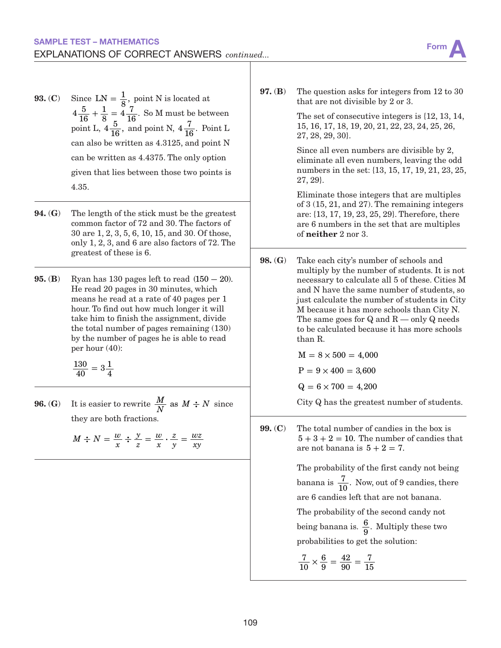- **93.** (C) Since  $LN = \frac{1}{8}$ , point N is located at  $4\frac{5}{16}$  $+\frac{1}{8} = 4\frac{7}{16}$ . So M must be between point L,  $4\frac{5}{16}$ , and point N,  $4\frac{7}{16}$ . Point L can also be written as 4.3125, and point N can be written as 4.4375. The only option given that lies between those two points is 4.35.
- 94. (G) The length of the stick must be the greatest common factor of 72 and 30. The factors of 30 are 1, 2, 3, 5, 6, 10, 15, and 30. Of those, only 1, 2, 3, and 6 are also factors of 72. The greatest of these is 6.
- 95. (B) Ryan has 130 pages left to read (150 **−** 20). He read 20 pages in 30 minutes, which means he read at a rate of 40 pages per 1 hour. To find out how much longer it will take him to finish the assignment, divide the total number of pages remaining (130) by the number of pages he is able to read per hour (40):

 $\frac{130}{40} = 3\frac{1}{4}$ 

**96.** (G) It is easier to rewrite  $\frac{M}{N}$  as  $M \div N$  since they are both fractions.

$$
M \div N = \frac{w}{x} \div \frac{y}{z} = \frac{w}{x} \cdot \frac{z}{y} = \frac{wz}{xy}
$$

97. (B) The question asks for integers from 12 to 30 that are not divisible by 2 or 3.

> The set of consecutive integers is {12, 13, 14, 15, 16, 17, 18, 19, 20, 21, 22, 23, 24, 25, 26, 27, 28, 29, 30}.

Since all even numbers are divisible by 2, eliminate all even numbers, leaving the odd numbers in the set: {13, 15, 17, 19, 21, 23, 25, 27, 29}.

Eliminate those integers that are multiples of 3 (15, 21, and 27). The remaining integers are: {13, 17, 19, 23, 25, 29}. Therefore, there are 6 numbers in the set that are multiples of neither 2 nor 3.

98. (G) Take each city's number of schools and multiply by the number of students. It is not necessary to calculate all 5 of these. Cities M and N have the same number of students, so just calculate the number of students in City M because it has more schools than City N. The same goes for  $Q$  and  $R$  — only  $Q$  needs to be calculated because it has more schools than R.

 $M = 8 \times 500 = 4,000$ 

 $P = 9 \times 400 = 3{,}600$ 

 $Q = 6 \times 700 = 4,200$ 

City Q has the greatest number of students.

99. (C) The total number of candies in the box is  $5 + 3 + 2 = 10$ . The number of candies that are not banana is  $5 + 2 = 7$ .

> The probability of the first candy not being banana is  $\frac{7}{10}$ . Now, out of 9 candies, there are 6 candies left that are not banana.

The probability of the second candy not being banana is.  $\frac{6}{9}$ . Multiply these two probabilities to get the solution:

$$
\frac{7}{10} \times \frac{6}{9} = \frac{42}{90} = \frac{7}{15}
$$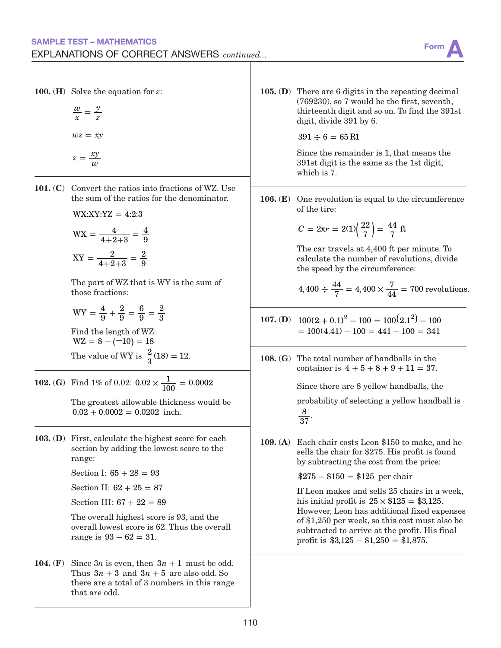|            | <b>100.</b> ( <b>H</b> ) Solve the equation for $z$ :<br>$\frac{w}{x} = \frac{y}{z}$<br>$wz = xy$<br>$z=\frac{xy}{w}$                                                                                                                                                                                                          |            | <b>105.</b> (D) There are 6 digits in the repeating decimal<br>$(769230)$ , so 7 would be the first, seventh,<br>thirteenth digit and so on. To find the 391st<br>digit, divide 391 by 6.<br>$391 \div 6 = 65$ R1<br>Since the remainder is 1, that means the<br>391st digit is the same as the 1st digit,<br>which is 7.                                                                                                                                                            |
|------------|--------------------------------------------------------------------------------------------------------------------------------------------------------------------------------------------------------------------------------------------------------------------------------------------------------------------------------|------------|--------------------------------------------------------------------------------------------------------------------------------------------------------------------------------------------------------------------------------------------------------------------------------------------------------------------------------------------------------------------------------------------------------------------------------------------------------------------------------------|
| 101. $(C)$ | Convert the ratios into fractions of WZ. Use<br>the sum of the ratios for the denominator.<br>$WX:XY:YZ = 4:2:3$<br>$WX = \frac{4}{4+2+3} = \frac{4}{9}$<br>$XY = \frac{2}{4+2+3} = \frac{2}{9}$<br>The part of WZ that is WY is the sum of<br>those fractions:                                                                | $106.$ (E) | One revolution is equal to the circumference<br>of the tire:<br>$C = 2\pi r = 2(1)\left(\frac{22}{7}\right) = \frac{44}{7}$ ft<br>The car travels at 4,400 ft per minute. To<br>calculate the number of revolutions, divide<br>the speed by the circumference:<br>$4,400 \div \frac{44}{7} = 4,400 \times \frac{7}{44} = 700$ revolutions.                                                                                                                                           |
|            | $WY = \frac{4}{9} + \frac{2}{9} = \frac{6}{9} = \frac{2}{3}$<br>Find the length of WZ:<br>$WZ = 8 - (-10) = 18$<br>The value of WY is $\frac{2}{3}(18) = 12$ .                                                                                                                                                                 |            | 107. (D) $100(2+0.1)^2 - 100 = 100(2.1^2) - 100$<br>$= 100(4.41) - 100 = 441 - 100 = 341$<br>108. (G) The total number of handballs in the<br>container is $4 + 5 + 8 + 9 + 11 = 37$ .                                                                                                                                                                                                                                                                                               |
|            | <b>102.</b> (G) Find 1% of 0.02: $0.02 \times \frac{1}{100} = 0.0002$<br>The greatest allowable thickness would be<br>$0.02 + 0.0002 = 0.0202$ inch.                                                                                                                                                                           |            | Since there are 8 yellow handballs, the<br>probability of selecting a yellow handball is<br>$rac{8}{37}$ .                                                                                                                                                                                                                                                                                                                                                                           |
|            | 103. (D) First, calculate the highest score for each<br>section by adding the lowest score to the<br>range:<br>Section I: $65 + 28 = 93$<br>Section II: $62 + 25 = 87$<br>Section III: $67 + 22 = 89$<br>The overall highest score is 93, and the<br>overall lowest score is 62. Thus the overall<br>range is $93 - 62 = 31$ . |            | 109. (A) Each chair costs Leon \$150 to make, and he<br>sells the chair for \$275. His profit is found<br>by subtracting the cost from the price:<br>$$275 - $150 = $125$ per chair<br>If Leon makes and sells 25 chairs in a week,<br>his initial profit is $25 \times $125 = $3,125$ .<br>However, Leon has additional fixed expenses<br>of \$1,250 per week, so this cost must also be<br>subtracted to arrive at the profit. His final<br>profit is $$3,125 - $1,250 = $1,875$ . |
| 104. $(F)$ | Since $3n$ is even, then $3n + 1$ must be odd.<br>Thus $3n + 3$ and $3n + 5$ are also odd. So<br>there are a total of 3 numbers in this range<br>that are odd.                                                                                                                                                                 |            |                                                                                                                                                                                                                                                                                                                                                                                                                                                                                      |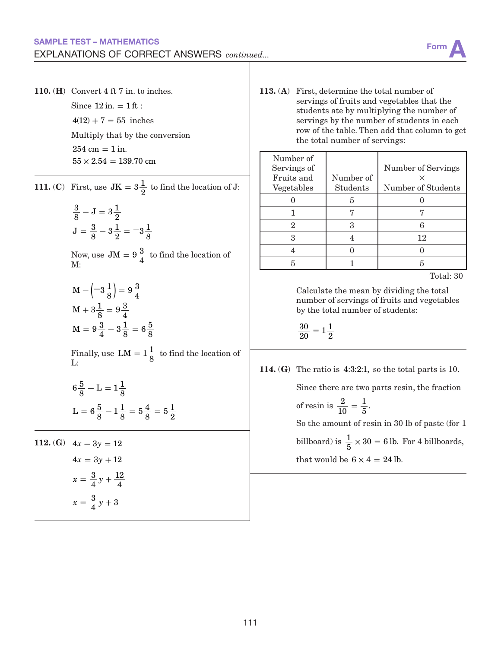

110. (H) Convert 4 ft 7 in. to inches. Since  $12$  in.  $= 1$  ft :  $4(12) + 7 = 55$  inches Multiply that by the conversion  $254 cm = 1 in.$  $55 \times 2.54 = 139.70$  cm

 $\overline{a}$ 

**111.** (C) First, use  $JK = 3\frac{1}{2}$  to find the location of J:

$$
\frac{3}{8} - J = 3\frac{1}{2}
$$
  

$$
J = \frac{3}{8} - 3\frac{1}{2} = -3\frac{1}{8}
$$

Now, use  $JM = 9\frac{3}{4}$  to find the location of M:

$$
M - \left(-3\frac{1}{8}\right) = 9\frac{3}{4}
$$
  

$$
M + 3\frac{1}{8} = 9\frac{3}{4}
$$
  

$$
M = 9\frac{3}{4} - 3\frac{1}{8} = 6\frac{5}{8}
$$

Finally, use  $LM = 1\frac{1}{8}$  to find the location of L:

$$
6\frac{5}{8} - L = 1\frac{1}{8}
$$
  

$$
L = 6\frac{5}{8} - 1\frac{1}{8} = 5\frac{4}{8} = 5\frac{1}{2}
$$

112. **(G)**  $4x - 3y = 12$  $4x = 3y + 12$  $x = \frac{3}{4}y$  $x = \frac{3}{4}y + 3$ 4 12  $=\frac{3}{4}y+\frac{12}{4}$ 

113. (A) First, determine the total number of servings of fruits and vegetables that the students ate by multiplying the number of servings by the number of students in each row of the table. Then add that column to get the total number of servings:

| Number of   |           |                    |
|-------------|-----------|--------------------|
| Servings of |           | Number of Servings |
| Fruits and  | Number of |                    |
| Vegetables  | Students  | Number of Students |
|             | 5         |                    |
|             |           |                    |
| 2           |           |                    |
|             |           | 12                 |
|             |           |                    |
|             |           |                    |

Total: 30

Calculate the mean by dividing the total number of servings of fruits and vegetables by the total number of students:

$$
\frac{30}{20}=1\frac{1}{2}
$$

114. (G) The ratio is 4:3:2:1, so the total parts is 10.

Since there are two parts resin, the fraction

of resin is  $\frac{2}{10}$  $=\frac{1}{5}$ .

So the amount of resin in 30 lb of paste (for 1 billboard) is  $\frac{1}{5} \times 30 = 6$  lb. For 4 billboards, that would be  $6 \times 4 = 24$  lb.